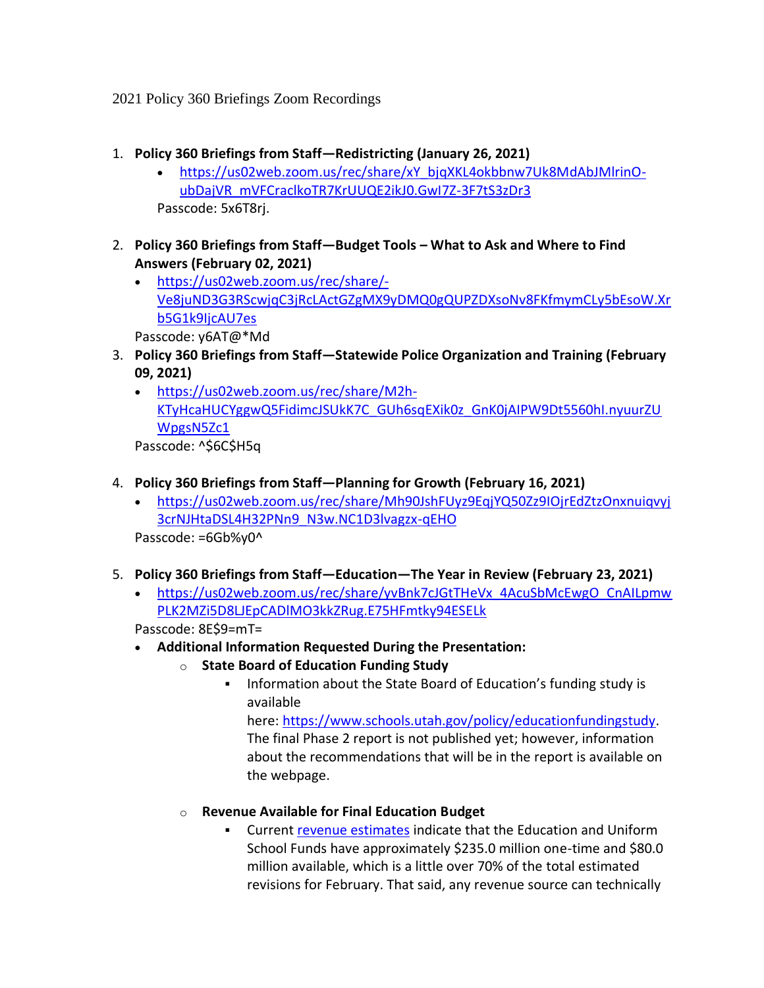2021 Policy 360 Briefings Zoom Recordings

- 1. **Policy 360 Briefings from Staff—Redistricting (January 26, 2021)**
	- [https://us02web.zoom.us/rec/share/xY\\_bjqXKL4okbbnw7Uk8MdAbJMlrinO](https://us02web.zoom.us/rec/share/xY_bjqXKL4okbbnw7Uk8MdAbJMlrinO-ubDajVR_mVFCraclkoTR7KrUUQE2ikJ0.GwI7Z-3F7tS3zDr3)[ubDajVR\\_mVFCraclkoTR7KrUUQE2ikJ0.GwI7Z-3F7tS3zDr3](https://us02web.zoom.us/rec/share/xY_bjqXKL4okbbnw7Uk8MdAbJMlrinO-ubDajVR_mVFCraclkoTR7KrUUQE2ikJ0.GwI7Z-3F7tS3zDr3) Passcode: 5x6T8rj.
- 2. **Policy 360 Briefings from Staff—Budget Tools – What to Ask and Where to Find Answers (February 02, 2021)**
	- [https://us02web.zoom.us/rec/share/-](https://us02web.zoom.us/rec/share/-Ve8juND3G3RScwjqC3jRcLActGZgMX9yDMQ0gQUPZDXsoNv8FKfmymCLy5bEsoW.Xrb5G1k9IjcAU7es) [Ve8juND3G3RScwjqC3jRcLActGZgMX9yDMQ0gQUPZDXsoNv8FKfmymCLy5bEsoW.Xr](https://us02web.zoom.us/rec/share/-Ve8juND3G3RScwjqC3jRcLActGZgMX9yDMQ0gQUPZDXsoNv8FKfmymCLy5bEsoW.Xrb5G1k9IjcAU7es) [b5G1k9IjcAU7es](https://us02web.zoom.us/rec/share/-Ve8juND3G3RScwjqC3jRcLActGZgMX9yDMQ0gQUPZDXsoNv8FKfmymCLy5bEsoW.Xrb5G1k9IjcAU7es)

Passcode: y6AT@\*Md

- 3. **Policy 360 Briefings from Staff—Statewide Police Organization and Training (February 09, 2021)**
	- [https://us02web.zoom.us/rec/share/M2h-](https://us02web.zoom.us/rec/share/M2h-KTyHcaHUCYggwQ5FidimcJSUkK7C_GUh6sqEXik0z_GnK0jAIPW9Dt5560hI.nyuurZUWpgsN5Zc1)[KTyHcaHUCYggwQ5FidimcJSUkK7C\\_GUh6sqEXik0z\\_GnK0jAIPW9Dt5560hI.nyuurZU](https://us02web.zoom.us/rec/share/M2h-KTyHcaHUCYggwQ5FidimcJSUkK7C_GUh6sqEXik0z_GnK0jAIPW9Dt5560hI.nyuurZUWpgsN5Zc1) [WpgsN5Zc1](https://us02web.zoom.us/rec/share/M2h-KTyHcaHUCYggwQ5FidimcJSUkK7C_GUh6sqEXik0z_GnK0jAIPW9Dt5560hI.nyuurZUWpgsN5Zc1)

Passcode: ^\$6C\$H5q

- 4. **Policy 360 Briefings from Staff—Planning for Growth (February 16, 2021)**
	- [https://us02web.zoom.us/rec/share/Mh90JshFUyz9EqjYQ50Zz9IOjrEdZtzOnxnuiqvyj](https://us02web.zoom.us/rec/share/Mh90JshFUyz9EqjYQ50Zz9IOjrEdZtzOnxnuiqvyj3crNJHtaDSL4H32PNn9_N3w.NC1D3lvagzx-qEHO) [3crNJHtaDSL4H32PNn9\\_N3w.NC1D3lvagzx-qEHO](https://us02web.zoom.us/rec/share/Mh90JshFUyz9EqjYQ50Zz9IOjrEdZtzOnxnuiqvyj3crNJHtaDSL4H32PNn9_N3w.NC1D3lvagzx-qEHO)

Passcode: =6Gb%y0^

- 5. **Policy 360 Briefings from Staff—Education—The Year in Review (February 23, 2021)**
	- [https://us02web.zoom.us/rec/share/yvBnk7cJGtTHeVx\\_4AcuSbMcEwgO\\_CnAILpmw](https://us02web.zoom.us/rec/share/yvBnk7cJGtTHeVx_4AcuSbMcEwgO_CnAILpmwPLK2MZi5D8LJEpCADlMO3kkZRug.E75HFmtky94ESELk) [PLK2MZi5D8LJEpCADlMO3kkZRug.E75HFmtky94ESELk](https://us02web.zoom.us/rec/share/yvBnk7cJGtTHeVx_4AcuSbMcEwgO_CnAILpmwPLK2MZi5D8LJEpCADlMO3kkZRug.E75HFmtky94ESELk)

Passcode: 8E\$9=mT=

- **Additional Information Requested During the Presentation:**
	- o **State Board of Education Funding Study**
		- Information about the State Board of Education's funding study is available

here: [https://www.schools.utah.gov/policy/educationfundingstudy.](https://www.schools.utah.gov/policy/educationfundingstudy) The final Phase 2 report is not published yet; however, information about the recommendations that will be in the report is available on the webpage.

- o **Revenue Available for Final Education Budget**
	- Current [revenue estimates](https://le.utah.gov/interim/2021/pdf/00001545.pdf) indicate that the Education and Uniform School Funds have approximately \$235.0 million one-time and \$80.0 million available, which is a little over 70% of the total estimated revisions for February. That said, any revenue source can technically